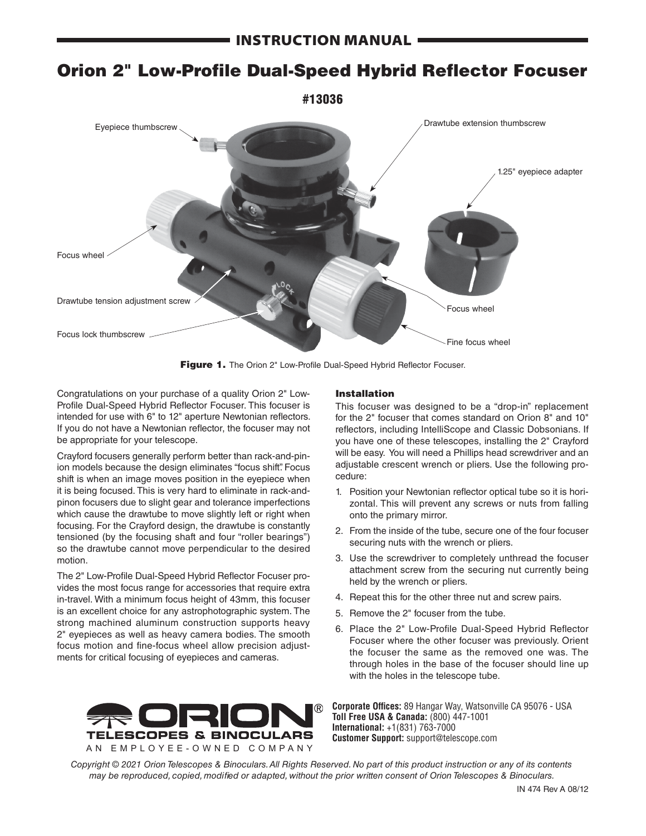# Orion 2" Low-Profile Dual-Speed Hybrid Reflector Focuser



Figure 1. The Orion 2" Low-Profile Dual-Speed Hybrid Reflector Focuser.

Congratulations on your purchase of a quality Orion 2" Low-Profile Dual-Speed Hybrid Reflector Focuser. This focuser is intended for use with 6" to 12" aperture Newtonian reflectors. If you do not have a Newtonian reflector, the focuser may not be appropriate for your telescope.

Crayford focusers generally perform better than rack-and-pinion models because the design eliminates "focus shift". Focus shift is when an image moves position in the eyepiece when it is being focused. This is very hard to eliminate in rack-andpinon focusers due to slight gear and tolerance imperfections which cause the drawtube to move slightly left or right when focusing. For the Crayford design, the drawtube is constantly tensioned (by the focusing shaft and four "roller bearings") so the drawtube cannot move perpendicular to the desired motion.

The 2" Low-Profile Dual-Speed Hybrid Reflector Focuser provides the most focus range for accessories that require extra in-travel. With a minimum focus height of 43mm, this focuser is an excellent choice for any astrophotographic system. The strong machined aluminum construction supports heavy 2" eyepieces as well as heavy camera bodies. The smooth focus motion and fine-focus wheel allow precision adjustments for critical focusing of eyepieces and cameras.

## Installation

This focuser was designed to be a "drop-in" replacement for the 2" focuser that comes standard on Orion 8" and 10" reflectors, including IntelliScope and Classic Dobsonians. If you have one of these telescopes, installing the 2" Crayford will be easy. You will need a Phillips head screwdriver and an adjustable crescent wrench or pliers. Use the following procedure:

- 1. Position your Newtonian reflector optical tube so it is horizontal. This will prevent any screws or nuts from falling onto the primary mirror.
- 2. From the inside of the tube, secure one of the four focuser securing nuts with the wrench or pliers.
- 3. Use the screwdriver to completely unthread the focuser attachment screw from the securing nut currently being held by the wrench or pliers.
- 4. Repeat this for the other three nut and screw pairs.
- 5. Remove the 2" focuser from the tube.
- 6. Place the 2" Low-Profile Dual-Speed Hybrid Reflector Focuser where the other focuser was previously. Orient the focuser the same as the removed one was. The through holes in the base of the focuser should line up with the holes in the telescope tube.



**Corporate Offices:** 89 Hangar Way, Watsonville CA 95076 - USA **Toll Free USA & Canada:** (800) 447-1001 **International:** +1(831) 763-7000 **Customer Support:** support@telescope.com

*Copyright © 2021 Orion Telescopes & Binoculars. All Rights Reserved. No part of this product instruction or any of its contents may be reproduced, copied, modified or adapted, without the prior written consent of Orion Telescopes & Binoculars.*